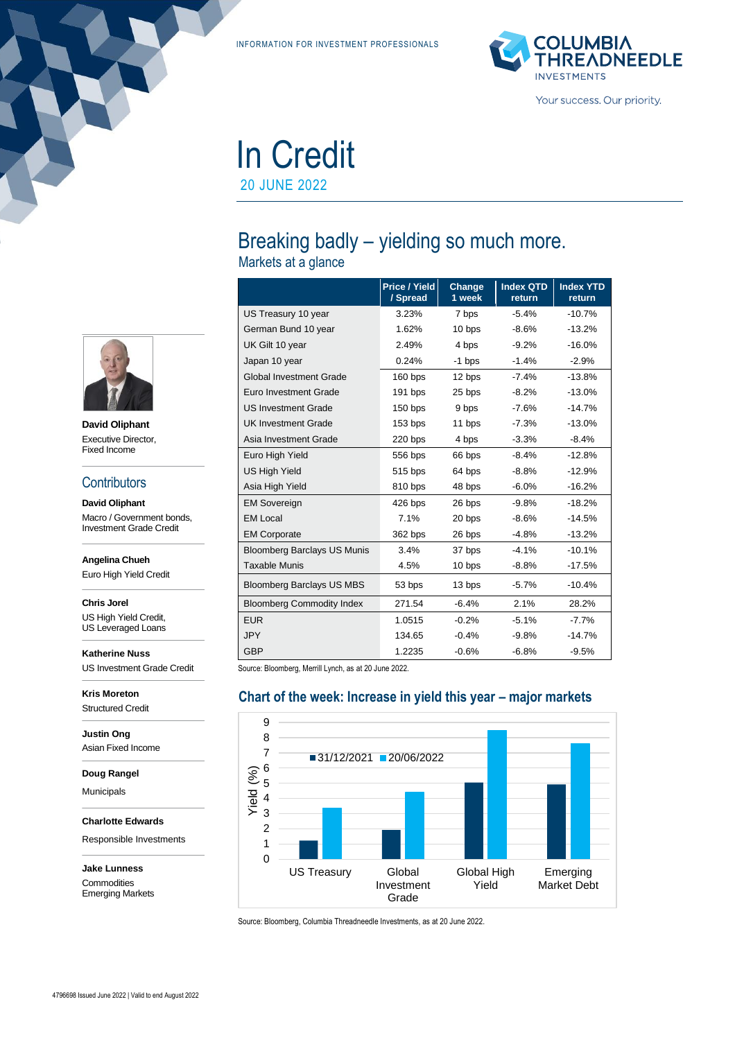INFORMATION FOR INVESTMENT PROFESSIONALS



# In Credit 20 JUNE 2022

# Breaking badly – yielding so much more.

Markets at a glance

|                                    | Price / Yield<br>/ Spread | Change<br>1 week | <b>Index QTD</b><br>return | <b>Index YTD</b><br>return |
|------------------------------------|---------------------------|------------------|----------------------------|----------------------------|
| US Treasury 10 year                | 3.23%                     | 7 bps            | $-5.4%$                    | $-10.7%$                   |
| German Bund 10 year                | 1.62%                     | 10 bps           | $-8.6%$                    | $-13.2%$                   |
| UK Gilt 10 year                    | 2.49%                     | 4 bps            | $-9.2%$                    | $-16.0%$                   |
| Japan 10 year                      | 0.24%                     | $-1$ bps         | $-1.4%$                    | $-2.9%$                    |
| <b>Global Investment Grade</b>     | $160$ bps                 | 12 bps           | $-7.4%$                    | $-13.8%$                   |
| Euro Investment Grade              | 191 bps                   | 25 bps           | $-8.2%$                    | $-13.0%$                   |
| <b>US Investment Grade</b>         | $150$ bps                 | 9 bps            | $-7.6%$                    | $-14.7%$                   |
| <b>UK Investment Grade</b>         | $153$ bps                 | 11 bps           | $-7.3%$                    | $-13.0%$                   |
| Asia Investment Grade              | $220$ bps                 | 4 bps            | $-3.3%$                    | $-8.4%$                    |
| Euro High Yield                    | 556 bps                   | 66 bps           | $-8.4%$                    | $-12.8%$                   |
| <b>US High Yield</b>               | 515 bps                   | 64 bps           | $-8.8%$                    | $-12.9%$                   |
| Asia High Yield                    | 810 bps                   | 48 bps           | $-6.0%$                    | $-16.2%$                   |
| <b>EM Sovereign</b>                | 426 bps                   | 26 bps           | $-9.8%$                    | $-18.2%$                   |
| <b>EM Local</b>                    | 7.1%                      | 20 bps           | $-8.6%$                    | $-14.5%$                   |
| <b>EM Corporate</b>                | 362 bps                   | 26 bps           | $-4.8%$                    | $-13.2%$                   |
| <b>Bloomberg Barclays US Munis</b> | 3.4%                      | 37 bps           | $-4.1%$                    | $-10.1%$                   |
| <b>Taxable Munis</b>               | 4.5%                      | 10 bps           | $-8.8%$                    | $-17.5%$                   |
| <b>Bloomberg Barclays US MBS</b>   | 53 bps                    | 13 bps           | $-5.7%$                    | $-10.4%$                   |
| <b>Bloomberg Commodity Index</b>   | 271.54                    | $-6.4%$          | 2.1%                       | 28.2%                      |
| <b>EUR</b>                         | 1.0515                    | $-0.2%$          | $-5.1%$                    | $-7.7%$                    |
| <b>JPY</b>                         | 134.65                    | $-0.4%$          | $-9.8%$                    | $-14.7%$                   |
| <b>GBP</b>                         | 1.2235                    | $-0.6%$          | $-6.8%$                    | $-9.5%$                    |

Source: Bloomberg, Merrill Lynch, as at 20 June 2022.

#### **Chart of the week: Increase in yield this year – major markets** 0 1 2 3 4 5 6 7 8 9 US Treasury Global Investment Grade Global High Yield Emerging Market Debt  $Yield (%)34and (%)555500$ 31/12/2021 20/06/2022

Source: Bloomberg, Columbia Threadneedle Investments, as at 20 June 2022.



**David Oliphant** Executive Director, Fixed Income

#### **Contributors**

**David Oliphant** Macro / Government bonds, Investment Grade Credit

**Angelina Chueh**

Euro High Yield Credit

**Chris Jorel**

US High Yield Credit, US Leveraged Loans

**Katherine Nuss** US Investment Grade Credit

**Kris Moreton** Structured Credit

**Justin Ong** Asian Fixed Income

**Doug Rangel**

Municipals

**Charlotte Edwards**

Responsible Investments

**Jake Lunness Commodities** Emerging Markets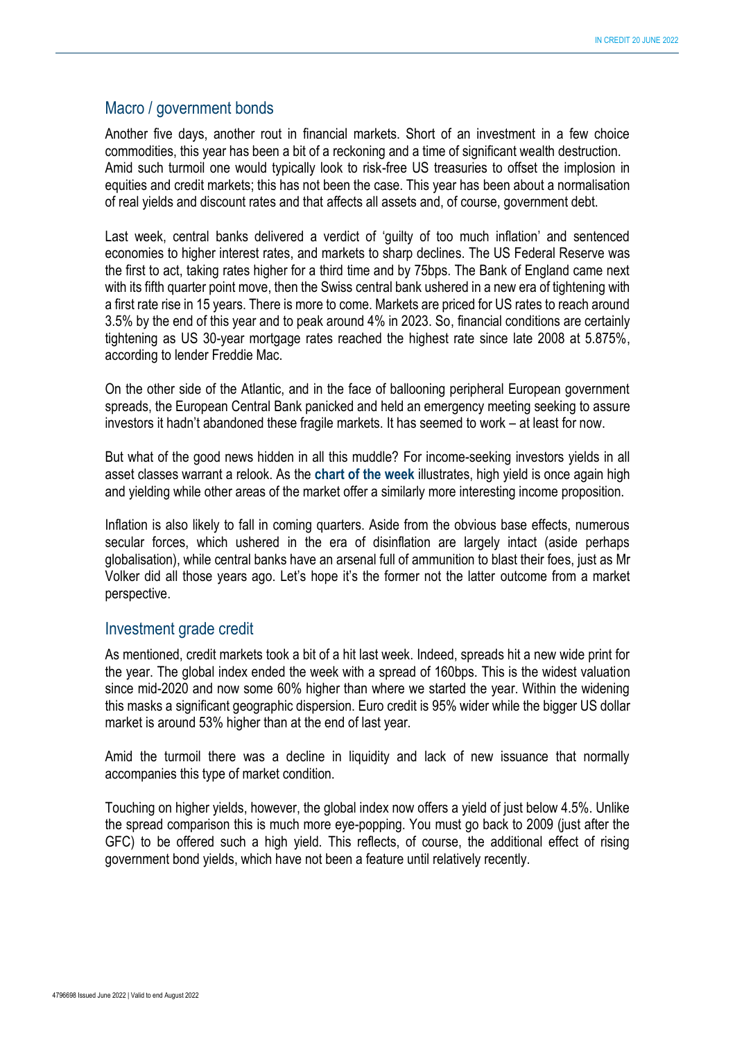#### Macro / government bonds

Another five days, another rout in financial markets. Short of an investment in a few choice commodities, this year has been a bit of a reckoning and a time of significant wealth destruction. Amid such turmoil one would typically look to risk-free US treasuries to offset the implosion in equities and credit markets; this has not been the case. This year has been about a normalisation of real yields and discount rates and that affects all assets and, of course, government debt.

Last week, central banks delivered a verdict of 'guilty of too much inflation' and sentenced economies to higher interest rates, and markets to sharp declines. The US Federal Reserve was the first to act, taking rates higher for a third time and by 75bps. The Bank of England came next with its fifth quarter point move, then the Swiss central bank ushered in a new era of tightening with a first rate rise in 15 years. There is more to come. Markets are priced for US rates to reach around 3.5% by the end of this year and to peak around 4% in 2023. So, financial conditions are certainly tightening as US 30-year mortgage rates reached the highest rate since late 2008 at 5.875%, according to lender Freddie Mac.

On the other side of the Atlantic, and in the face of ballooning peripheral European government spreads, the European Central Bank panicked and held an emergency meeting seeking to assure investors it hadn't abandoned these fragile markets. It has seemed to work – at least for now.

But what of the good news hidden in all this muddle? For income-seeking investors yields in all asset classes warrant a relook. As the **chart of the week** illustrates, high yield is once again high and yielding while other areas of the market offer a similarly more interesting income proposition.

Inflation is also likely to fall in coming quarters. Aside from the obvious base effects, numerous secular forces, which ushered in the era of disinflation are largely intact (aside perhaps globalisation), while central banks have an arsenal full of ammunition to blast their foes, just as Mr Volker did all those years ago. Let's hope it's the former not the latter outcome from a market perspective.

#### Investment grade credit

As mentioned, credit markets took a bit of a hit last week. Indeed, spreads hit a new wide print for the year. The global index ended the week with a spread of 160bps. This is the widest valuation since mid-2020 and now some 60% higher than where we started the year. Within the widening this masks a significant geographic dispersion. Euro credit is 95% wider while the bigger US dollar market is around 53% higher than at the end of last year.

Amid the turmoil there was a decline in liquidity and lack of new issuance that normally accompanies this type of market condition.

Touching on higher yields, however, the global index now offers a yield of just below 4.5%. Unlike the spread comparison this is much more eye-popping. You must go back to 2009 (just after the GFC) to be offered such a high yield. This reflects, of course, the additional effect of rising government bond yields, which have not been a feature until relatively recently.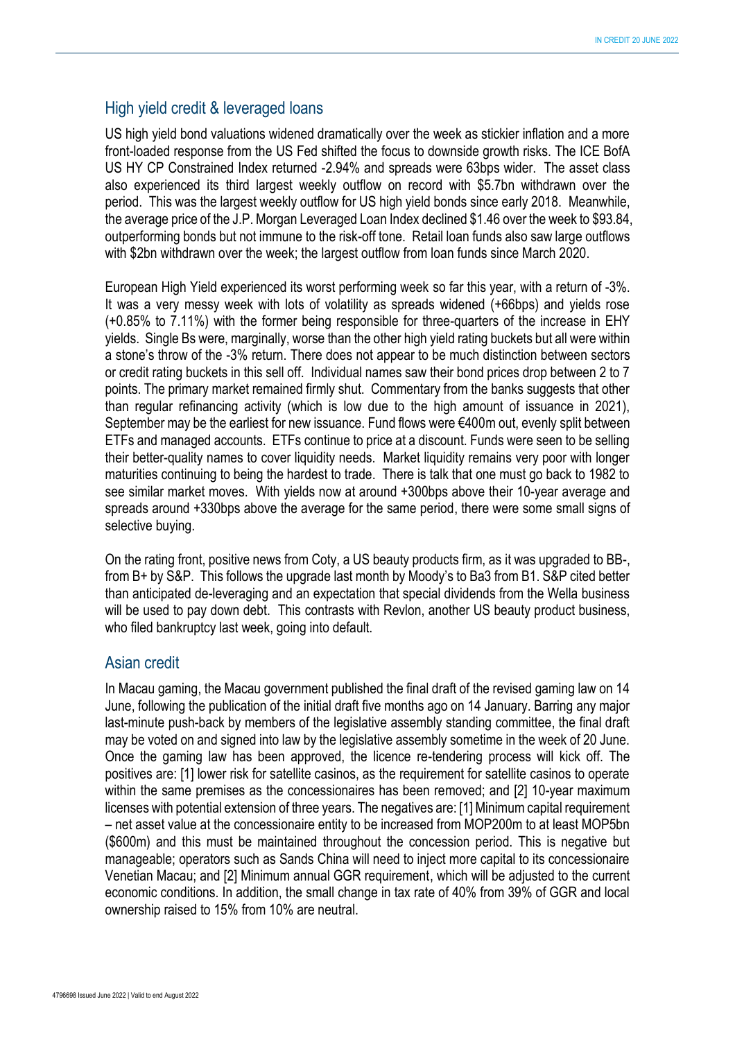#### High yield credit & leveraged loans

US high yield bond valuations widened dramatically over the week as stickier inflation and a more front-loaded response from the US Fed shifted the focus to downside growth risks. The ICE BofA US HY CP Constrained Index returned -2.94% and spreads were 63bps wider. The asset class also experienced its third largest weekly outflow on record with \$5.7bn withdrawn over the period. This was the largest weekly outflow for US high yield bonds since early 2018. Meanwhile, the average price of the J.P. Morgan Leveraged Loan Index declined \$1.46 over the week to \$93.84, outperforming bonds but not immune to the risk-off tone. Retail loan funds also saw large outflows with \$2bn withdrawn over the week; the largest outflow from loan funds since March 2020.

European High Yield experienced its worst performing week so far this year, with a return of -3%. It was a very messy week with lots of volatility as spreads widened (+66bps) and yields rose (+0.85% to 7.11%) with the former being responsible for three-quarters of the increase in EHY yields. Single Bs were, marginally, worse than the other high yield rating buckets but all were within a stone's throw of the -3% return. There does not appear to be much distinction between sectors or credit rating buckets in this sell off. Individual names saw their bond prices drop between 2 to 7 points. The primary market remained firmly shut. Commentary from the banks suggests that other than regular refinancing activity (which is low due to the high amount of issuance in 2021), September may be the earliest for new issuance. Fund flows were €400m out, evenly split between ETFs and managed accounts. ETFs continue to price at a discount. Funds were seen to be selling their better-quality names to cover liquidity needs. Market liquidity remains very poor with longer maturities continuing to being the hardest to trade. There is talk that one must go back to 1982 to see similar market moves. With yields now at around +300bps above their 10-year average and spreads around +330bps above the average for the same period, there were some small signs of selective buying.

On the rating front, positive news from Coty, a US beauty products firm, as it was upgraded to BB-, from B+ by S&P. This follows the upgrade last month by Moody's to Ba3 from B1. S&P cited better than anticipated de-leveraging and an expectation that special dividends from the Wella business will be used to pay down debt. This contrasts with Revlon, another US beauty product business, who filed bankruptcy last week, going into default.

#### Asian credit

In Macau gaming, the Macau government published the final draft of the revised gaming law on 14 June, following the publication of the initial draft five months ago on 14 January. Barring any major last-minute push-back by members of the legislative assembly standing committee, the final draft may be voted on and signed into law by the legislative assembly sometime in the week of 20 June. Once the gaming law has been approved, the licence re-tendering process will kick off. The positives are: [1] lower risk for satellite casinos, as the requirement for satellite casinos to operate within the same premises as the concessionaires has been removed; and [2] 10-year maximum licenses with potential extension of three years. The negatives are: [1] Minimum capital requirement – net asset value at the concessionaire entity to be increased from MOP200m to at least MOP5bn (\$600m) and this must be maintained throughout the concession period. This is negative but manageable; operators such as Sands China will need to inject more capital to its concessionaire Venetian Macau; and [2] Minimum annual GGR requirement, which will be adjusted to the current economic conditions. In addition, the small change in tax rate of 40% from 39% of GGR and local ownership raised to 15% from 10% are neutral.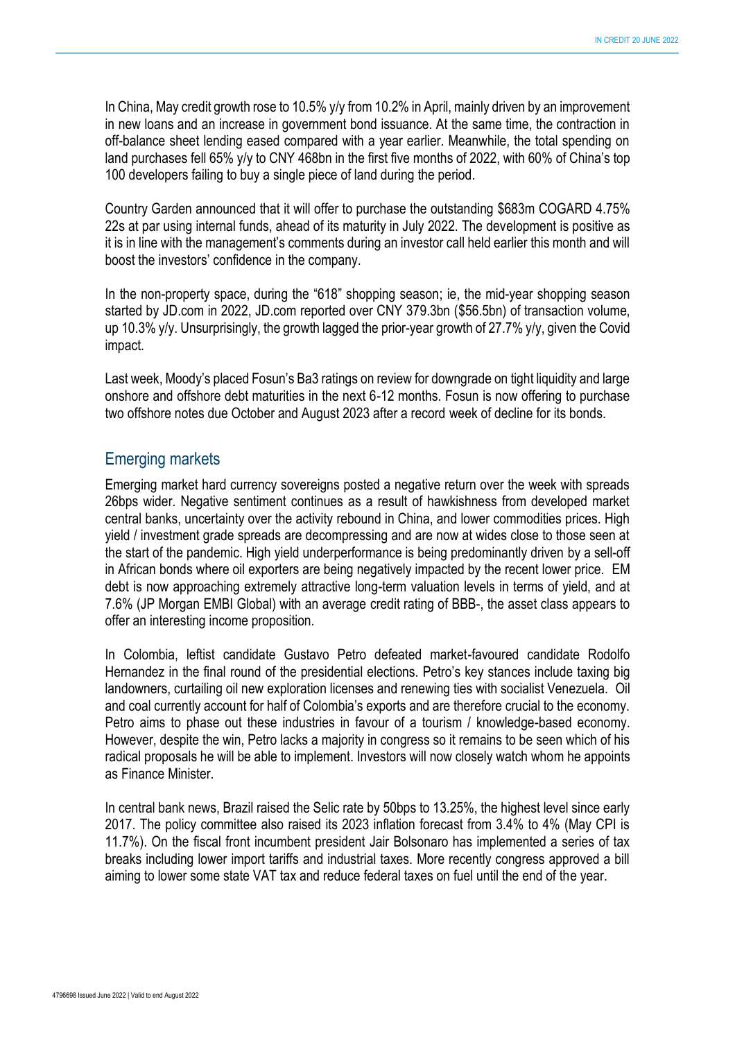In China, May credit growth rose to 10.5% y/y from 10.2% in April, mainly driven by an improvement in new loans and an increase in government bond issuance. At the same time, the contraction in off-balance sheet lending eased compared with a year earlier. Meanwhile, the total spending on land purchases fell 65% y/y to CNY 468bn in the first five months of 2022, with 60% of China's top 100 developers failing to buy a single piece of land during the period.

Country Garden announced that it will offer to purchase the outstanding \$683m COGARD 4.75% 22s at par using internal funds, ahead of its maturity in July 2022. The development is positive as it is in line with the management's comments during an investor call held earlier this month and will boost the investors' confidence in the company.

In the non-property space, during the "618" shopping season; ie, the mid-year shopping season started by JD.com in 2022, JD.com reported over CNY 379.3bn (\$56.5bn) of transaction volume, up 10.3% y/y. Unsurprisingly, the growth lagged the prior-year growth of 27.7% y/y, given the Covid impact.

Last week, Moody's placed Fosun's Ba3 ratings on review for downgrade on tight liquidity and large onshore and offshore debt maturities in the next 6-12 months. Fosun is now offering to purchase two offshore notes due October and August 2023 after a record week of decline for its bonds.

#### Emerging markets

Emerging market hard currency sovereigns posted a negative return over the week with spreads 26bps wider. Negative sentiment continues as a result of hawkishness from developed market central banks, uncertainty over the activity rebound in China, and lower commodities prices. High yield / investment grade spreads are decompressing and are now at wides close to those seen at the start of the pandemic. High yield underperformance is being predominantly driven by a sell-off in African bonds where oil exporters are being negatively impacted by the recent lower price. EM debt is now approaching extremely attractive long-term valuation levels in terms of yield, and at 7.6% (JP Morgan EMBI Global) with an average credit rating of BBB-, the asset class appears to offer an interesting income proposition.

In Colombia, leftist candidate Gustavo Petro defeated market-favoured candidate Rodolfo Hernandez in the final round of the presidential elections. Petro's key stances include taxing big landowners, curtailing oil new exploration licenses and renewing ties with socialist Venezuela. Oil and coal currently account for half of Colombia's exports and are therefore crucial to the economy. Petro aims to phase out these industries in favour of a tourism / knowledge-based economy. However, despite the win, Petro lacks a majority in congress so it remains to be seen which of his radical proposals he will be able to implement. Investors will now closely watch whom he appoints as Finance Minister.

In central bank news, Brazil raised the Selic rate by 50bps to 13.25%, the highest level since early 2017. The policy committee also raised its 2023 inflation forecast from 3.4% to 4% (May CPI is 11.7%). On the fiscal front incumbent president Jair Bolsonaro has implemented a series of tax breaks including lower import tariffs and industrial taxes. More recently congress approved a bill aiming to lower some state VAT tax and reduce federal taxes on fuel until the end of the year.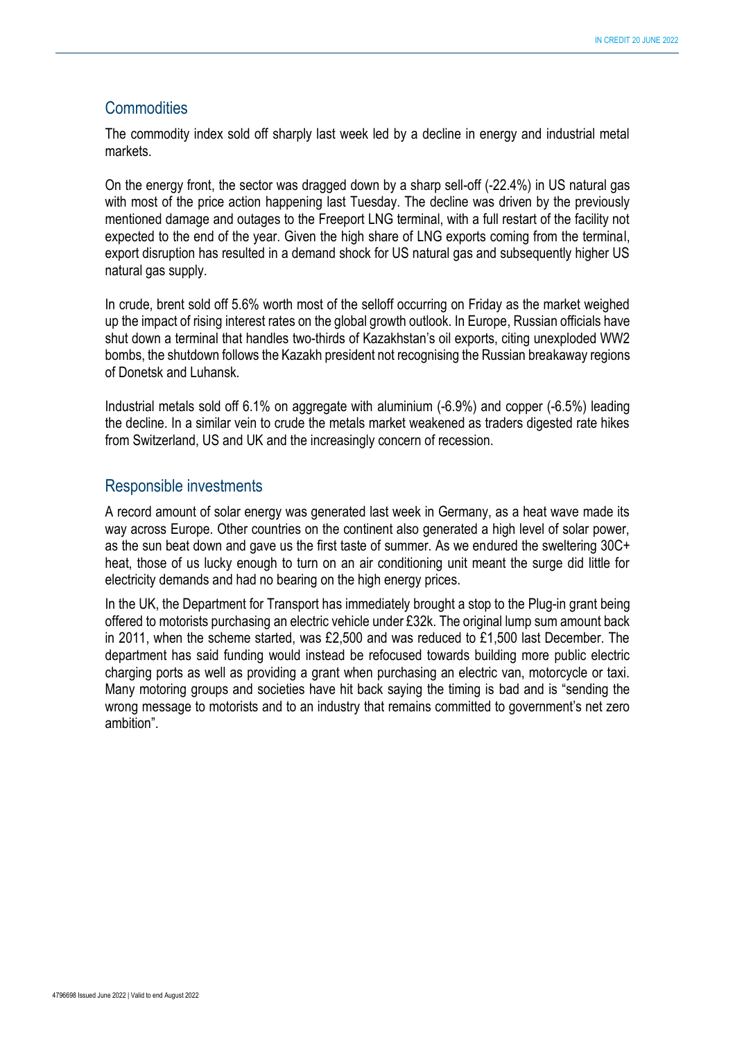### **Commodities**

The commodity index sold off sharply last week led by a decline in energy and industrial metal markets.

On the energy front, the sector was dragged down by a sharp sell-off (-22.4%) in US natural gas with most of the price action happening last Tuesday. The decline was driven by the previously mentioned damage and outages to the Freeport LNG terminal, with a full restart of the facility not expected to the end of the year. Given the high share of LNG exports coming from the terminal, export disruption has resulted in a demand shock for US natural gas and subsequently higher US natural gas supply.

In crude, brent sold off 5.6% worth most of the selloff occurring on Friday as the market weighed up the impact of rising interest rates on the global growth outlook. In Europe, Russian officials have shut down a terminal that handles two-thirds of Kazakhstan's oil exports, citing unexploded WW2 bombs, the shutdown follows the Kazakh president not recognising the Russian breakaway regions of Donetsk and Luhansk.

Industrial metals sold off 6.1% on aggregate with aluminium (-6.9%) and copper (-6.5%) leading the decline. In a similar vein to crude the metals market weakened as traders digested rate hikes from Switzerland, US and UK and the increasingly concern of recession.

#### Responsible investments

A record amount of solar energy was generated last week in Germany, as a heat wave made its way across Europe. Other countries on the continent also generated a high level of solar power, as the sun beat down and gave us the first taste of summer. As we endured the sweltering 30C+ heat, those of us lucky enough to turn on an air conditioning unit meant the surge did little for electricity demands and had no bearing on the high energy prices.

In the UK, the Department for Transport has immediately brought a stop to the Plug-in grant being offered to motorists purchasing an electric vehicle under £32k. The original lump sum amount back in 2011, when the scheme started, was £2,500 and was reduced to £1,500 last December. The department has said funding would instead be refocused towards building more public electric charging ports as well as providing a grant when purchasing an electric van, motorcycle or taxi. Many motoring groups and societies have hit back saying the timing is bad and is "sending the wrong message to motorists and to an industry that remains committed to government's net zero ambition".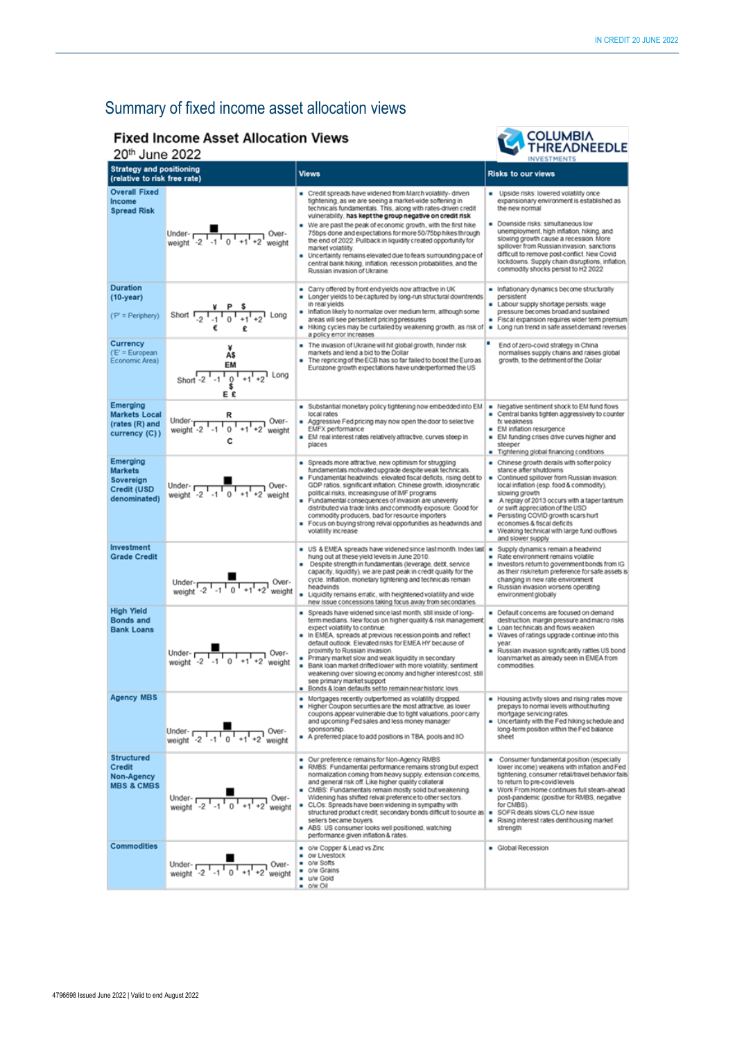## Summary of fixed income asset allocation views

#### **Fixed Income Asset Allocation Views**



| <b>THREADNEEDLE</b><br>20th June 2022<br><b>INVESTMENTS</b>                   |                                                                                                              |                                                                                                                                                                                                                                                                                                                                                                                                                                                                                                                                                                                                                                               |                                                                                                                                                                                                                                                                                                                                                                                                                          |  |  |
|-------------------------------------------------------------------------------|--------------------------------------------------------------------------------------------------------------|-----------------------------------------------------------------------------------------------------------------------------------------------------------------------------------------------------------------------------------------------------------------------------------------------------------------------------------------------------------------------------------------------------------------------------------------------------------------------------------------------------------------------------------------------------------------------------------------------------------------------------------------------|--------------------------------------------------------------------------------------------------------------------------------------------------------------------------------------------------------------------------------------------------------------------------------------------------------------------------------------------------------------------------------------------------------------------------|--|--|
| <b>Strategy and positioning</b><br>(relative to risk free rate)               |                                                                                                              | <b>Views</b>                                                                                                                                                                                                                                                                                                                                                                                                                                                                                                                                                                                                                                  | <b>Risks to our views</b>                                                                                                                                                                                                                                                                                                                                                                                                |  |  |
| <b>Overall Fixed</b><br>Income<br><b>Spread Risk</b>                          | Under-<br>weight $-2$ $1$ -1 0 $1$ +1 +2<br>Over-<br>weight                                                  | Credit spreads have widened from March volatility- driven<br>tightening, as we are seeing a market-wide softening in<br>technicals fundamentals. This, along with rates-driven credit<br>vulnerability, has kept the group negative on credit risk<br>We are past the peak of economic growth, with the first hike<br>75bps done and expectations for more 50/75bp hikes through<br>the end of 2022. Pullback in liquidity created opportunity for<br>market volatility.<br>Uncertainty remains elevated due to fears surrounding pace of<br>central bank hiking, inflation, recession probabilities, and the<br>Russian invasion of Ukraine. | Upside risks: lowered volatility once<br>expansionary environment is established as<br>the new normal<br>Downside risks: simultaneous low<br>unemployment, high inflation, hiking, and<br>slowing growth cause a recession. More<br>spillover from Russian invasion, sanctions<br>difficult to remove post-conflict. New Covid<br>lockdowns. Supply chain disruptions, inflation,<br>commodity shocks persist to H2 2022 |  |  |
| <b>Duration</b><br>$(10 - year)$<br>('P' = Periphery)                         | Short $\frac{1}{2}$ $\frac{1}{2}$ $\frac{1}{1}$ $\frac{1}{0}$ $\frac{1}{1}$ $\frac{1}{1}$ $\frac{1}{2}$ Long | Carry offered by front end yields now attractive in UK<br>٠<br>Longer yields to be captured by long-run structural downtrends<br>٠<br>in real yields<br>Inflation likely to normalize over medium term, although some<br>areas will see persistent pricing pressures<br>Hiking cycles may be curtailed by weakening growth, as risk of<br>a policy error increases                                                                                                                                                                                                                                                                            | Inflationary dynamics become structurally<br>persistent<br>Labour supply shortage persists; wage<br>pressure becomes broad and sustained<br>Fiscal expansion requires wider term premium<br>Long run trend in safe asset demand reverses                                                                                                                                                                                 |  |  |
| Currency<br>$(E' = European$<br>Economic Area)                                | A\$<br>EM<br>1 Long<br>Short $-2$ $-1$ $-1$ $\frac{0}{5}$<br>Ε£                                              | The invasion of Ukraine will hit global growth, hinder risk<br>markets and lend a bid to the Dollar<br>The repricing of the ECB has so far failed to boost the Euro as<br>Eurozone growth expectations have underperformed the US                                                                                                                                                                                                                                                                                                                                                                                                             | End of zero-covid strategy in China<br>normalises supply chains and raises global<br>growth, to the detriment of the Dollar                                                                                                                                                                                                                                                                                              |  |  |
| Emerging<br><b>Markets Local</b><br>(rates (R) and<br>currency (C))           | Under- $\overline{1, 1}$ $\overline{1, 1}$ $\overline{1, 1}$ $\overline{1, 1}$<br>Over-<br>weight<br>c       | Substantial monetary policy tightening now embedded into EM<br>local rates<br>Aggressive Fed pricing may now open the door to selective<br>EMFX performance<br>EM real interest rates relatively attractive, curves steep in<br>places                                                                                                                                                                                                                                                                                                                                                                                                        | Negative sentiment shock to EM fund flows<br>- Central banks tighten aggressively to counter<br>fx weakness<br>EM inflation resurgence<br>• EM funding crises drive curves higher and<br>steeper<br>Tightening global financing conditions                                                                                                                                                                               |  |  |
| Emerging<br><b>Markets</b><br>Sovereign<br><b>Credit (USD</b><br>denominated) | Under- $\frac{1}{2}$<br>weight $-2$ -1 0 +1<br>Over-<br>weight                                               | Spreads more attractive, new optimism for struggling<br>٠<br>fundamentais motivated upgrade despite weak technicals.<br>Fundamental headwinds: elevated fiscal deficits, rising debt to<br>GDP ratios, significant inflation, Chinese growth, idiosyncratic<br>political risks, increasing use of IMF programs<br>Fundamental consequences of invasion are unevenly<br>distributed via trade links and commodity exposure. Good for<br>commodity producers, bad for resource importers<br>Focus on buying strong reival opportunities as headwinds and<br>volatility increase                                                                 | Chinese growth derails with softer policy<br>stance after shuldowns<br>Continued spillover from Russian invasion:<br>٠<br>local inflation (esp. food & commodity),<br>slowing growth<br>A replay of 2013 occurs with a taper tantrum<br>or swift appreciation of the USD<br>Persisting COVID growth scars hurt<br>۰<br>economies & fiscal deficits<br>- Weaking technical with large fund outflows<br>and slower supply  |  |  |
| Investment<br><b>Grade Credit</b>                                             | Under-<br>weight -2 -1 0 +1 +2 weight                                                                        | US & EMEA spreads have widened since last month. Index last =<br>٠<br>hung out at these yield levels in June 2010.<br>Despite strength in fundamentals (leverage, debt, service<br>capacity, liquidity), we are past peak in credit quality for the<br>cycle. Inflation, monetary tightening and technicals remain<br>headwinds<br>Liquidity remains erratic, with heightened volatility and wide<br>new issue concessions taking focus away from secondaries.                                                                                                                                                                                | Supply dynamics remain a headwind<br>Rate environment remains volatile<br>Investors return to government bonds from IG<br>as their risk/retum preference for safe assets is<br>changing in new rate environment<br>Russian invasion worsens operating<br>environment globally                                                                                                                                            |  |  |
| <b>High Yield</b><br><b>Bonds and</b><br><b>Bank Loans</b>                    | Under- $\frac{1}{1}$ $\frac{1}{1}$ $\frac{1}{0}$ $+1$ $+2$ weight                                            | Spreads have widened since last month, still inside of long-<br>term medians. New focus on higher quality & risk management.<br>expect volatility to continue.<br>In EMEA, spreads at previous recession points and reflect<br>default outlook. Elevated risks for EMEA HY because of<br>proximity to Russian invasion.<br>Primary market slow and weak liquidity in secondary<br>٠<br>Bank loan market drifted lower with more volatility; sentiment<br>weakening over slowing economy and higher interest cost, still<br>see primary market support<br>Bonds & loan defaults set to remain near historic lows                               | Default concerns are focused on demand<br>destruction, margin pressure and macro risks<br>Loan technicals and flows weaken<br>Waves of ratings upgrade continue into this<br>year.<br>Russian invasion significantly rattles US bond<br>٠<br>loan/market as already seen in EMEA from<br>commodities.                                                                                                                    |  |  |
| <b>Agency MBS</b>                                                             | Under-<br>weight -2 -1<br>Over-<br>weight                                                                    | Mortgages recently outperformed as volatility dropped.<br>Higher Coupon securities are the most attractive, as lower<br>coupons appear vulnerable due to tight valuations, poor carry<br>and upcoming Fed sales and less money manager<br>sponsorship.<br>A preferred place to add positions in TBA, pools and IIO                                                                                                                                                                                                                                                                                                                            | Housing activity slows and rising rates move<br>prepays to normal levels without hurting<br>mortgage servicing rates.<br>Uncertainty with the Fed hiking schedule and<br>long-term position within the Fed balance<br>sheet                                                                                                                                                                                              |  |  |
| <b>Structured</b><br>Credit<br>Non-Agency<br><b>MBS &amp; CMBS</b>            | Under- $\frac{1}{\text{Weight}}$ -2 $\frac{1}{10}$ +1 +2 weight<br>Over-                                     | Our preference remains for Non-Agency RMBS<br>RMBS: Fundamental performance remains strong but expect<br>normalization coming from heavy supply, extension concerns,<br>and general risk off. Like higher quality collateral<br>CMBS: Fundamentals remain mostly solid but weakening.<br>Widening has shifted relval preference to other sectors.<br>CLOs: Spreads have been widening in sympathy with<br>structured product credit, secondary bonds difficult to source as   SOFR deals slows CLO new issue<br>sellers became buyers.<br>ABS: US consumer looks well positioned, watching<br>performance given inflation & rates.            | Consumer fundamental position (especially<br>۰<br>lower income) weakens with inflation and Fed<br>tightening, consumer retail/travel behavior fails<br>to return to pre-covid levels<br>Work From Home continues full steam-ahead<br>post-pandemic (positive for RMBS, negative<br>for CMBS).<br>Rising interest rates dent housing market<br>strength                                                                   |  |  |
| <b>Commodities</b>                                                            | Under- $\frac{1}{2}$ -1 $\frac{1}{0}$ +1<br>-Over ך<br>weight                                                | o/w Copper & Lead vs Zinc<br>ow Livestock<br>o/w Softs<br>$\blacksquare$<br>o/w Grains<br>u/w Gold<br>$\bullet$ $\circ$ /w $\circ$ il                                                                                                                                                                                                                                                                                                                                                                                                                                                                                                         | Global Recession                                                                                                                                                                                                                                                                                                                                                                                                         |  |  |